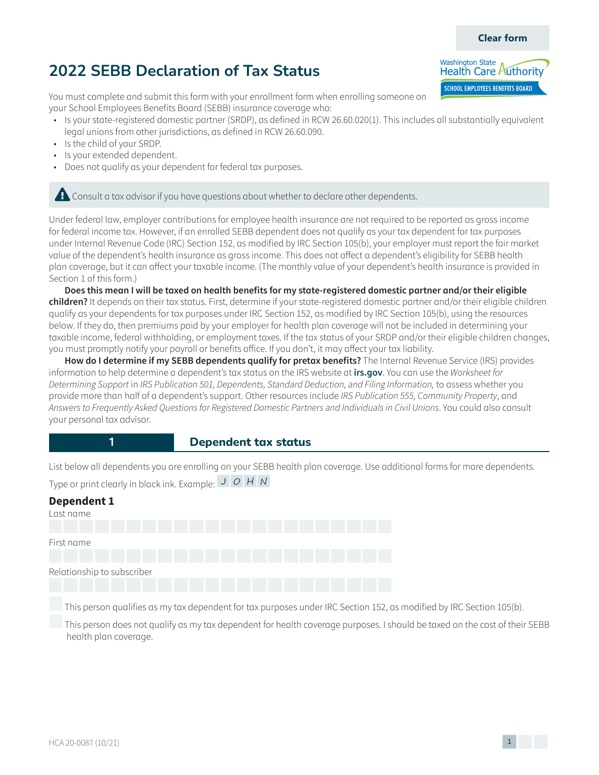## $HCA\ 20-0087\ (10/21)$   $1$

# **2022 SEBB Declaration of Tax Status**

You must complete and submit this form with your enrollment form when enrolling someone on your School Employees Benefits Board (SEBB) insurance coverage who:

- Is your state-registered domestic partner (SRDP), as defined in RCW 26.60.020(1). This includes all substantially equivalent legal unions from other jurisdictions, as defined in RCW 26.60.090.
- Is the child of your SRDP.
- Is your extended dependent.
- Does not qualify as your dependent for federal tax purposes.

**Example 2** Consult a tax advisor if you have questions about whether to declare other dependents.

Under federal law, employer contributions for employee health insurance are not required to be reported as gross income for federal income tax. However, if an enrolled SEBB dependent does not qualify as your tax dependent for tax purposes under Internal Revenue Code (IRC) Section 152, as modified by IRC Section 105(b), your employer must report the fair market value of the dependent's health insurance as gross income. This does not affect a dependent's eligibility for SEBB health plan coverage, but it can affect your taxable income. (The monthly value of your dependent's health insurance is provided in Section 1 of this form.)

**Does this mean I will be taxed on health benefits for my state-registered domestic partner and/or their eligible children?** It depends on their tax status. First, determine if your state-registered domestic partner and/or their eligible children qualify as your dependents for tax purposes under IRC Section 152, as modified by IRC Section 105(b), using the resources below. If they do, then premiums paid by your employer for health plan coverage will not be included in determining your taxable income, federal withholding, or employment taxes. If the tax status of your SRDP and/or their eligible children changes, you must promptly notify your payroll or benefits office. If you don't, it may affect your tax liability.

**How do I determine if my SEBB dependents qualify for pretax benefits?** The Internal Revenue Service (IRS) provides information to help determine a dependent's tax status on the IRS website at **irs.gov**. You can use the *Worksheet for*  Determining Support in IRS Publication 501, Dependents, Standard Deduction, and Filing Information, to assess whether you provide more than half of a dependent's support. Other resources include IRS Publication 555, Community Property, and Answers to Frequently Asked Questions for Registered Domestic Partners and Individuals in Civil Unions. You could also consult your personal tax advisor.

#### **1 Dependent tax status**

List below all dependents you are enrolling on your SEBB health plan coverage. Use additional forms for more dependents. Type or print clearly in black ink. Example:  $J/O/H/N$ 

| <b>Dependent 1</b>         |  |
|----------------------------|--|
| Last name                  |  |
|                            |  |
| First name                 |  |
|                            |  |
| Relationship to subscriber |  |
|                            |  |

This person qualifies as my tax dependent for tax purposes under IRC Section 152, as modified by IRC Section 105(b).

 This person does not qualify as my tax dependent for health coverage purposes. I should be taxed on the cost of their SEBB health plan coverage.



**Clear form**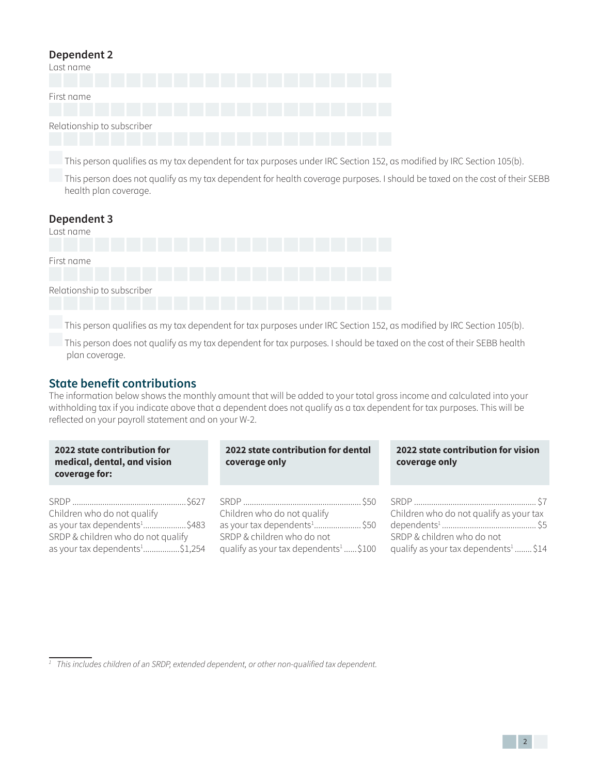### **Dependent 2**

| Last name                  |  |  |  |  |  |  |  |
|----------------------------|--|--|--|--|--|--|--|
| First name                 |  |  |  |  |  |  |  |
| Relationship to subscriber |  |  |  |  |  |  |  |

This person qualifies as my tax dependent for tax purposes under IRC Section 152, as modified by IRC Section 105(b).

 This person does not qualify as my tax dependent for health coverage purposes. I should be taxed on the cost of their SEBB health plan coverage.

| Dependent 3<br>Last name   |  |  |  |  |  |
|----------------------------|--|--|--|--|--|
|                            |  |  |  |  |  |
| First name                 |  |  |  |  |  |
|                            |  |  |  |  |  |
| Relationship to subscriber |  |  |  |  |  |
|                            |  |  |  |  |  |

This person qualifies as my tax dependent for tax purposes under IRC Section 152, as modified by IRC Section 105(b).

 This person does not qualify as my tax dependent for tax purposes. I should be taxed on the cost of their SEBB health plan coverage.

# **State benefit contributions**

SRDP & children who do not qualify as your tax dependents<sup>[1](#page-1-0)</sup>.................\$1,254

The information below shows the monthly amount that will be added to your total gross income and calculated into your withholding tax if you indicate above that a dependent does not qualify as a tax dependent for tax purposes. This will be reflected on your payroll statement and on your W-2.

| 2022 state contribution for<br>medical, dental, and vision<br>coverage for: | 2022 state contribution for dental<br>coverage only | 2022 state contribution for vision<br>coverage only |  |  |  |  |
|-----------------------------------------------------------------------------|-----------------------------------------------------|-----------------------------------------------------|--|--|--|--|
| Children who do not qualify                                                 | Children who do not qualify                         | Children who do not qualify as your tax             |  |  |  |  |

qualify as your tax dependents<sup>1</sup>......\$100

SRDP & children who do not

<span id="page-1-0"></span>

|  | $^1$ This includes children of an SRDP, extended dependent, or other non-qualified tax dependent. |  |  |
|--|---------------------------------------------------------------------------------------------------|--|--|
|--|---------------------------------------------------------------------------------------------------|--|--|

SRDP & children who do not

qualify as your tax dependents<sup>1</sup>........ \$14

32<sup>2</sup>